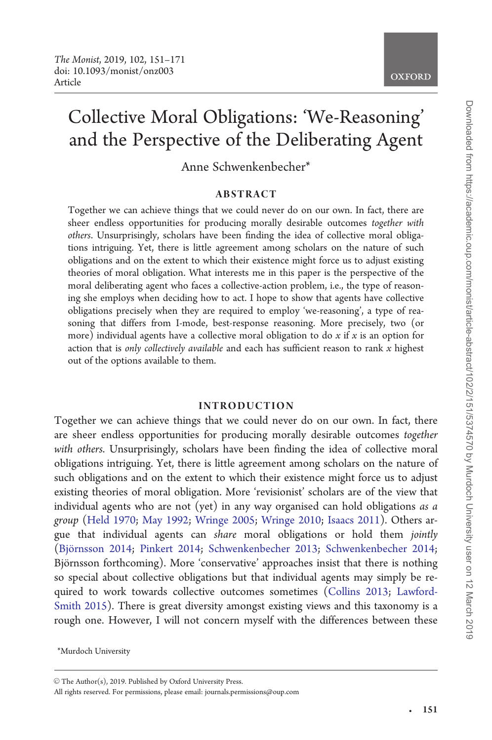# Collective Moral Obligations: 'We-Reasoning' and the Perspective of the Deliberating Agent

# Anne Schwenkenbecher\*

#### ABSTRACT

Together we can achieve things that we could never do on our own. In fact, there are sheer endless opportunities for producing morally desirable outcomes together with others. Unsurprisingly, scholars have been finding the idea of collective moral obligations intriguing. Yet, there is little agreement among scholars on the nature of such obligations and on the extent to which their existence might force us to adjust existing theories of moral obligation. What interests me in this paper is the perspective of the moral deliberating agent who faces a collective-action problem, i.e., the type of reasoning she employs when deciding how to act. I hope to show that agents have collective obligations precisely when they are required to employ 'we-reasoning', a type of reasoning that differs from I-mode, best-response reasoning. More precisely, two (or more) individual agents have a collective moral obligation to do  $x$  if  $x$  is an option for action that is only collectively available and each has sufficient reason to rank  $x$  highest out of the options available to them.

# INTRODUCTION

Together we can achieve things that we could never do on our own. In fact, there are sheer endless opportunities for producing morally desirable outcomes together with others. Unsurprisingly, scholars have been finding the idea of collective moral obligations intriguing. Yet, there is little agreement among scholars on the nature of such obligations and on the extent to which their existence might force us to adjust existing theories of moral obligation. More 'revisionist' scholars are of the view that individual agents who are not (yet) in any way organised can hold obligations as a group [\(Held 1970;](#page-19-0) [May 1992](#page-20-0); [Wringe 2005](#page-20-0); [Wringe 2010](#page-20-0); [Isaacs 2011\)](#page-19-0). Others argue that individual agents can share moral obligations or hold them jointly (Björnsson 2014; [Pinkert 2014;](#page-20-0) [Schwenkenbecher 2013](#page-20-0); [Schwenkenbecher 2014;](#page-20-0) Björnsson forthcoming). More 'conservative' approaches insist that there is nothing so special about collective obligations but that individual agents may simply be required to work towards collective outcomes sometimes [\(Collins 2013](#page-19-0); [Lawford-](#page-20-0)[Smith 2015\)](#page-20-0). There is great diversity amongst existing views and this taxonomy is a rough one. However, I will not concern myself with the differences between these

-

<sup>\*</sup>Murdoch University

 $\odot$  The Author(s), 2019. Published by Oxford University Press.

All rights reserved. For permissions, please email: journals.permissions@oup.com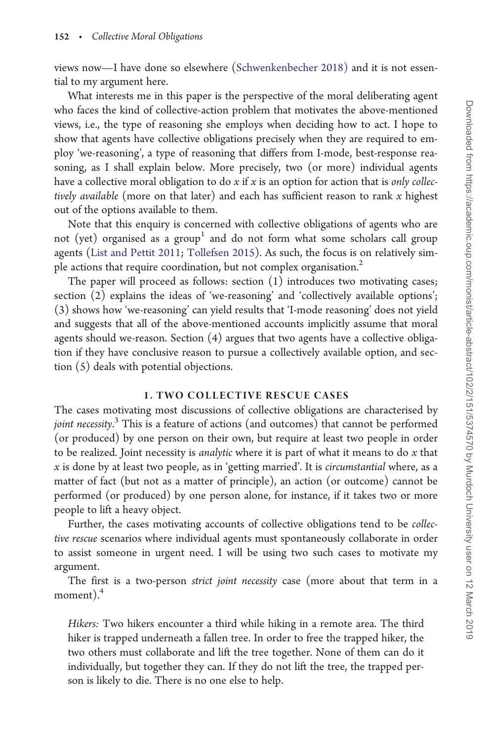views now—I have done so elsewhere ([Schwenkenbecher 2018\)](#page-20-0) and it is not essential to my argument here.

What interests me in this paper is the perspective of the moral deliberating agent who faces the kind of collective-action problem that motivates the above-mentioned views, i.e., the type of reasoning she employs when deciding how to act. I hope to show that agents have collective obligations precisely when they are required to employ 'we-reasoning', a type of reasoning that differs from I-mode, best-response reasoning, as I shall explain below. More precisely, two (or more) individual agents have a collective moral obligation to do x if x is an option for action that is *only collec*tively available (more on that later) and each has sufficient reason to rank  $x$  highest out of the options available to them.

Note that this enquiry is concerned with collective obligations of agents who are not (yet) organised as a group<sup>1</sup> and do not form what some scholars call group agents [\(List and Pettit 2011](#page-20-0); [Tollefsen 2015](#page-20-0)). As such, the focus is on relatively simple actions that require coordination, but not complex organisation.<sup>2</sup>

The paper will proceed as follows: section (1) introduces two motivating cases; section (2) explains the ideas of 'we-reasoning' and 'collectively available options'; (3) shows how 'we-reasoning' can yield results that 'I-mode reasoning' does not yield and suggests that all of the above-mentioned accounts implicitly assume that moral agents should we-reason. Section (4) argues that two agents have a collective obligation if they have conclusive reason to pursue a collectively available option, and section (5) deals with potential objections.

# 1. TWO COLLECTIVE RESCUE CASES

The cases motivating most discussions of collective obligations are characterised by *joint necessity.* $^3$  This is a feature of actions (and outcomes) that cannot be performed (or produced) by one person on their own, but require at least two people in order to be realized. Joint necessity is *analytic* where it is part of what it means to do  $x$  that  $x$  is done by at least two people, as in 'getting married'. It is *circumstantial* where, as a matter of fact (but not as a matter of principle), an action (or outcome) cannot be performed (or produced) by one person alone, for instance, if it takes two or more people to lift a heavy object.

Further, the cases motivating accounts of collective obligations tend to be collective rescue scenarios where individual agents must spontaneously collaborate in order to assist someone in urgent need. I will be using two such cases to motivate my argument.

The first is a two-person *strict joint necessity* case (more about that term in a moment).<sup>4</sup>

Hikers: Two hikers encounter a third while hiking in a remote area. The third hiker is trapped underneath a fallen tree. In order to free the trapped hiker, the two others must collaborate and lift the tree together. None of them can do it individually, but together they can. If they do not lift the tree, the trapped person is likely to die. There is no one else to help.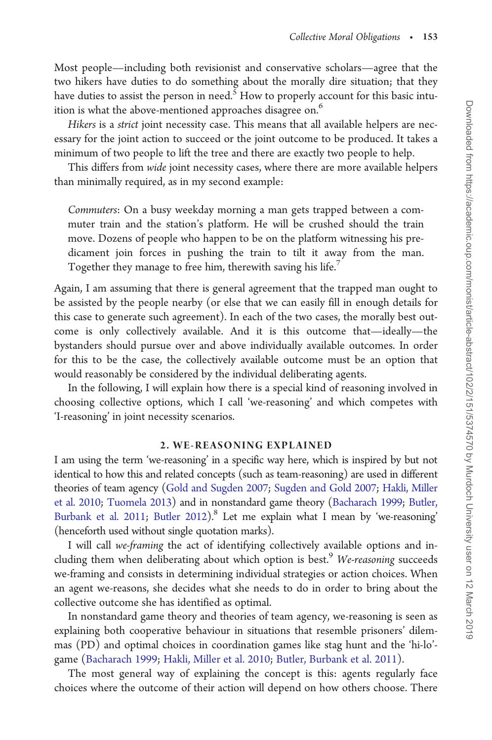Most people—including both revisionist and conservative scholars—agree that the two hikers have duties to do something about the morally dire situation; that they have duties to assist the person in need.<sup>5</sup> How to properly account for this basic intuition is what the above-mentioned approaches disagree on.<sup>6</sup>

Hikers is a strict joint necessity case. This means that all available helpers are necessary for the joint action to succeed or the joint outcome to be produced. It takes a minimum of two people to lift the tree and there are exactly two people to help.

This differs from *wide* joint necessity cases, where there are more available helpers than minimally required, as in my second example:

Commuters: On a busy weekday morning a man gets trapped between a commuter train and the station's platform. He will be crushed should the train move. Dozens of people who happen to be on the platform witnessing his predicament join forces in pushing the train to tilt it away from the man. Together they manage to free him, therewith saving his life.'

Again, I am assuming that there is general agreement that the trapped man ought to be assisted by the people nearby (or else that we can easily fill in enough details for this case to generate such agreement). In each of the two cases, the morally best outcome is only collectively available. And it is this outcome that—ideally—the bystanders should pursue over and above individually available outcomes. In order for this to be the case, the collectively available outcome must be an option that would reasonably be considered by the individual deliberating agents.

In the following, I will explain how there is a special kind of reasoning involved in choosing collective options, which I call 'we-reasoning' and which competes with 'I-reasoning' in joint necessity scenarios.

## 2. WE-REASONING EXPLAINED

I am using the term 'we-reasoning' in a specific way here, which is inspired by but not identical to how this and related concepts (such as team-reasoning) are used in different theories of team agency [\(Gold and Sugden 2007;](#page-19-0) [Sugden and Gold 2007;](#page-20-0) [Hakli, Miller](#page-19-0) [et al. 2010;](#page-19-0) [Tuomela 2013](#page-20-0)) and in nonstandard game theory [\(Bacharach 1999](#page-19-0); [Butler,](#page-19-0) [Burbank et al. 2011;](#page-19-0) [Butler 2012](#page-19-0)).<sup>8</sup> Let me explain what I mean by 'we-reasoning' (henceforth used without single quotation marks).

I will call we-framing the act of identifying collectively available options and including them when deliberating about which option is best.<sup>9</sup> We-reasoning succeeds we-framing and consists in determining individual strategies or action choices. When an agent we-reasons, she decides what she needs to do in order to bring about the collective outcome she has identified as optimal.

In nonstandard game theory and theories of team agency, we-reasoning is seen as explaining both cooperative behaviour in situations that resemble prisoners' dilemmas (PD) and optimal choices in coordination games like stag hunt and the 'hi-lo' game [\(Bacharach 1999;](#page-19-0) [Hakli, Miller et al. 2010;](#page-19-0) [Butler, Burbank et al. 2011\)](#page-19-0).

The most general way of explaining the concept is this: agents regularly face choices where the outcome of their action will depend on how others choose. There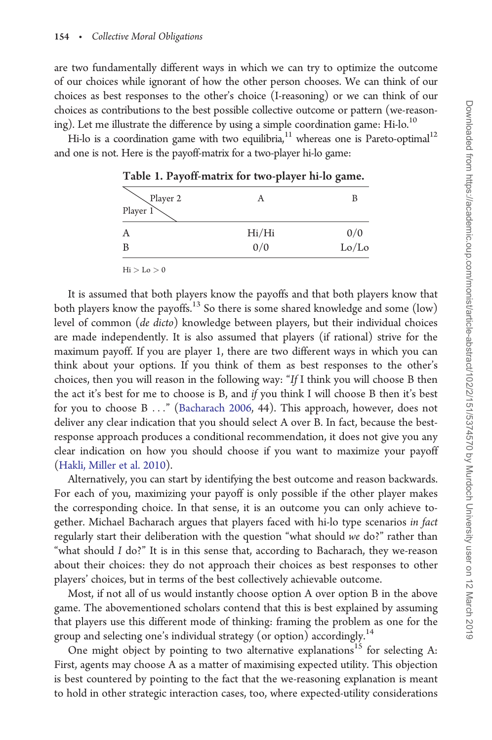are two fundamentally different ways in which we can try to optimize the outcome of our choices while ignorant of how the other person chooses. We can think of our choices as best responses to the other's choice (I-reasoning) or we can think of our choices as contributions to the best possible collective outcome or pattern (we-reasoning). Let me illustrate the difference by using a simple coordination game: Hi-lo.<sup>10</sup>

Hi-lo is a coordination game with two equilibria,<sup>11</sup> whereas one is Pareto-optimal<sup>12</sup> and one is not. Here is the payoff-matrix for a two-player hi-lo game:

|          | . .   | ້     |
|----------|-------|-------|
| Player 2 | A     | B     |
| Player 1 |       |       |
| A        | Hi/Hi | 0/0   |
| B        | 0/0   | Lo/Lo |
|          |       |       |

Table 1. Payoff-matrix for two-player hi-lo game.

 $Hi > Lo > 0$ 

It is assumed that both players know the payoffs and that both players know that both players know the payoffs.<sup>13</sup> So there is some shared knowledge and some (low) level of common (de dicto) knowledge between players, but their individual choices are made independently. It is also assumed that players (if rational) strive for the maximum payoff. If you are player 1, there are two different ways in which you can think about your options. If you think of them as best responses to the other's choices, then you will reason in the following way: "If I think you will choose B then the act it's best for me to choose is B, and if you think I will choose B then it's best for you to choose B ..." ([Bacharach 2006](#page-19-0), 44). This approach, however, does not deliver any clear indication that you should select A over B. In fact, because the bestresponse approach produces a conditional recommendation, it does not give you any clear indication on how you should choose if you want to maximize your payoff ([Hakli, Miller et al. 2010](#page-19-0)).

Alternatively, you can start by identifying the best outcome and reason backwards. For each of you, maximizing your payoff is only possible if the other player makes the corresponding choice. In that sense, it is an outcome you can only achieve together. Michael Bacharach argues that players faced with hi-lo type scenarios in fact regularly start their deliberation with the question "what should we do?" rather than "what should I do?" It is in this sense that, according to Bacharach, they we-reason about their choices: they do not approach their choices as best responses to other players' choices, but in terms of the best collectively achievable outcome.

Most, if not all of us would instantly choose option A over option B in the above game. The abovementioned scholars contend that this is best explained by assuming that players use this different mode of thinking: framing the problem as one for the group and selecting one's individual strategy (or option) accordingly.<sup>14</sup>

One might object by pointing to two alternative explanations<sup>15</sup> for selecting A: First, agents may choose A as a matter of maximising expected utility. This objection is best countered by pointing to the fact that the we-reasoning explanation is meant to hold in other strategic interaction cases, too, where expected-utility considerations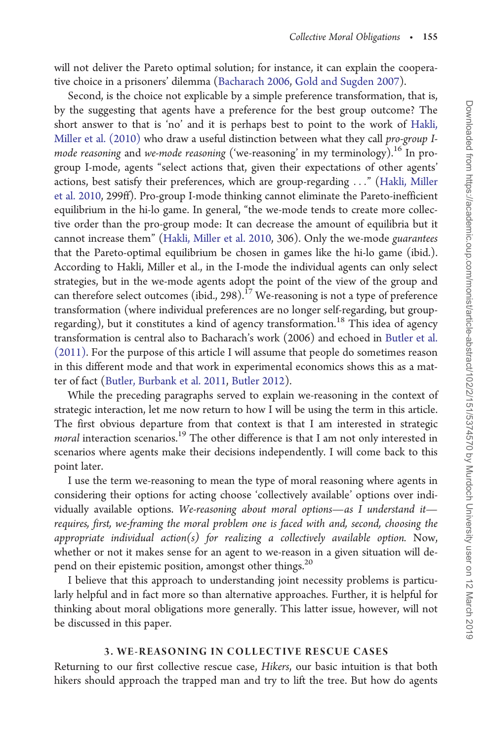will not deliver the Pareto optimal solution; for instance, it can explain the cooperative choice in a prisoners' dilemma [\(Bacharach 2006,](#page-19-0) [Gold and Sugden 2007\)](#page-19-0).

Second, is the choice not explicable by a simple preference transformation, that is, by the suggesting that agents have a preference for the best group outcome? The short answer to that is 'no' and it is perhaps best to point to the work of [Hakli,](#page-19-0) [Miller et al. \(2010\)](#page-19-0) who draw a useful distinction between what they call pro-group Imode reasoning and we-mode reasoning ('we-reasoning' in my terminology).<sup>16</sup> In progroup I-mode, agents "select actions that, given their expectations of other agents' actions, best satisfy their preferences, which are group-regarding ..." ([Hakli, Miller](#page-19-0) [et al. 2010](#page-19-0), 299ff). Pro-group I-mode thinking cannot eliminate the Pareto-inefficient equilibrium in the hi-lo game. In general, "the we-mode tends to create more collective order than the pro-group mode: It can decrease the amount of equilibria but it cannot increase them" ([Hakli, Miller et al. 2010,](#page-19-0) 306). Only the we-mode guarantees that the Pareto-optimal equilibrium be chosen in games like the hi-lo game (ibid.). According to Hakli, Miller et al., in the I-mode the individual agents can only select strategies, but in the we-mode agents adopt the point of the view of the group and can therefore select outcomes (ibid., 298).<sup>17</sup> We-reasoning is not a type of preference transformation (where individual preferences are no longer self-regarding, but groupregarding), but it constitutes a kind of agency transformation.<sup>18</sup> This idea of agency transformation is central also to Bacharach's work (2006) and echoed in [Butler et al.](#page-19-0) [\(2011\)](#page-19-0). For the purpose of this article I will assume that people do sometimes reason in this different mode and that work in experimental economics shows this as a matter of fact [\(Butler, Burbank et al. 2011](#page-19-0), [Butler 2012](#page-19-0)).

While the preceding paragraphs served to explain we-reasoning in the context of strategic interaction, let me now return to how I will be using the term in this article. The first obvious departure from that context is that I am interested in strategic *moral* interaction scenarios.<sup>19</sup> The other difference is that I am not only interested in scenarios where agents make their decisions independently. I will come back to this point later.

I use the term we-reasoning to mean the type of moral reasoning where agents in considering their options for acting choose 'collectively available' options over individually available options. We-reasoning about moral options—as I understand it requires, first, we-framing the moral problem one is faced with and, second, choosing the appropriate individual action(s) for realizing a collectively available option. Now, whether or not it makes sense for an agent to we-reason in a given situation will depend on their epistemic position, amongst other things.<sup>20</sup>

I believe that this approach to understanding joint necessity problems is particularly helpful and in fact more so than alternative approaches. Further, it is helpful for thinking about moral obligations more generally. This latter issue, however, will not be discussed in this paper.

# 3. WE-REASONING IN COLLECTIVE RESCUE CASES

Returning to our first collective rescue case, Hikers, our basic intuition is that both hikers should approach the trapped man and try to lift the tree. But how do agents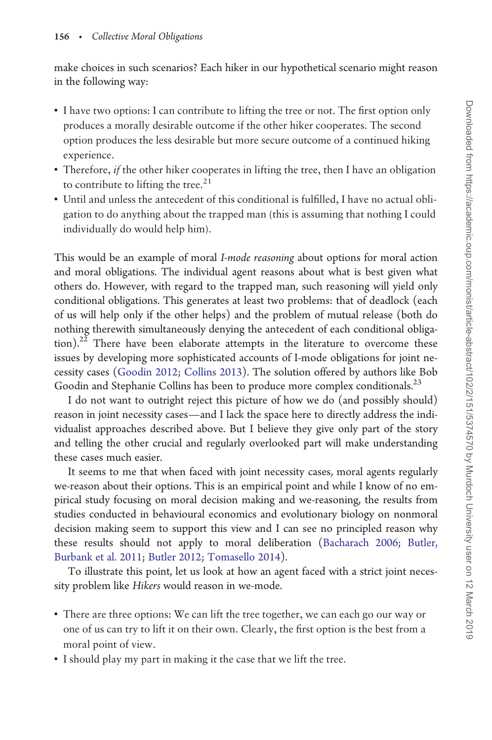make choices in such scenarios? Each hiker in our hypothetical scenario might reason in the following way:

- I have two options: I can contribute to lifting the tree or not. The first option only produces a morally desirable outcome if the other hiker cooperates. The second option produces the less desirable but more secure outcome of a continued hiking experience.
- Therefore, *if* the other hiker cooperates in lifting the tree, then I have an obligation to contribute to lifting the tree. $^{21}$
- Until and unless the antecedent of this conditional is fulfilled, I have no actual obligation to do anything about the trapped man (this is assuming that nothing I could individually do would help him).

This would be an example of moral I-mode reasoning about options for moral action and moral obligations. The individual agent reasons about what is best given what others do. However, with regard to the trapped man, such reasoning will yield only conditional obligations. This generates at least two problems: that of deadlock (each of us will help only if the other helps) and the problem of mutual release (both do nothing therewith simultaneously denying the antecedent of each conditional obligation).<sup>22</sup> There have been elaborate attempts in the literature to overcome these issues by developing more sophisticated accounts of I-mode obligations for joint necessity cases ([Goodin 2012;](#page-19-0) [Collins 2013](#page-19-0)). The solution offered by authors like Bob Goodin and Stephanie Collins has been to produce more complex conditionals.<sup>23</sup>

I do not want to outright reject this picture of how we do (and possibly should) reason in joint necessity cases—and I lack the space here to directly address the individualist approaches described above. But I believe they give only part of the story and telling the other crucial and regularly overlooked part will make understanding these cases much easier.

It seems to me that when faced with joint necessity cases, moral agents regularly we-reason about their options. This is an empirical point and while I know of no empirical study focusing on moral decision making and we-reasoning, the results from studies conducted in behavioural economics and evolutionary biology on nonmoral decision making seem to support this view and I can see no principled reason why these results should not apply to moral deliberation ([Bacharach 2006;](#page-19-0) [Butler,](#page-19-0) [Burbank et al. 2011](#page-19-0); [Butler 2012](#page-19-0); [Tomasello 2014\)](#page-20-0).

To illustrate this point, let us look at how an agent faced with a strict joint necessity problem like Hikers would reason in we-mode.

- There are three options: We can lift the tree together, we can each go our way or one of us can try to lift it on their own. Clearly, the first option is the best from a moral point of view.
- I should play my part in making it the case that we lift the tree.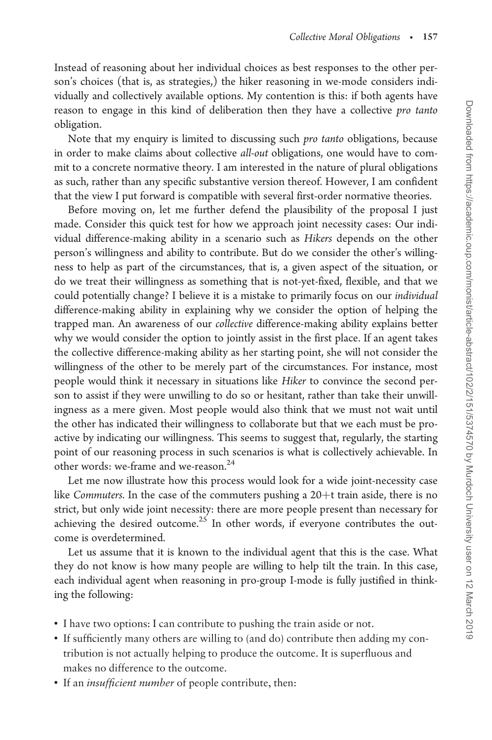Instead of reasoning about her individual choices as best responses to the other person's choices (that is, as strategies,) the hiker reasoning in we-mode considers individually and collectively available options. My contention is this: if both agents have reason to engage in this kind of deliberation then they have a collective pro tanto obligation.

Note that my enquiry is limited to discussing such pro tanto obligations, because in order to make claims about collective all-out obligations, one would have to commit to a concrete normative theory. I am interested in the nature of plural obligations as such, rather than any specific substantive version thereof. However, I am confident that the view I put forward is compatible with several first-order normative theories.

Before moving on, let me further defend the plausibility of the proposal I just made. Consider this quick test for how we approach joint necessity cases: Our individual difference-making ability in a scenario such as Hikers depends on the other person's willingness and ability to contribute. But do we consider the other's willingness to help as part of the circumstances, that is, a given aspect of the situation, or do we treat their willingness as something that is not-yet-fixed, flexible, and that we could potentially change? I believe it is a mistake to primarily focus on our individual difference-making ability in explaining why we consider the option of helping the trapped man. An awareness of our collective difference-making ability explains better why we would consider the option to jointly assist in the first place. If an agent takes the collective difference-making ability as her starting point, she will not consider the willingness of the other to be merely part of the circumstances. For instance, most people would think it necessary in situations like Hiker to convince the second person to assist if they were unwilling to do so or hesitant, rather than take their unwillingness as a mere given. Most people would also think that we must not wait until the other has indicated their willingness to collaborate but that we each must be proactive by indicating our willingness. This seems to suggest that, regularly, the starting point of our reasoning process in such scenarios is what is collectively achievable. In other words: we-frame and we-reason.24

Let me now illustrate how this process would look for a wide joint-necessity case like Commuters. In the case of the commuters pushing a  $20 + t$  train aside, there is no strict, but only wide joint necessity: there are more people present than necessary for achieving the desired outcome.<sup>25</sup> In other words, if everyone contributes the outcome is overdetermined.

Let us assume that it is known to the individual agent that this is the case. What they do not know is how many people are willing to help tilt the train. In this case, each individual agent when reasoning in pro-group I-mode is fully justified in thinking the following:

- I have two options: I can contribute to pushing the train aside or not.
- If sufficiently many others are willing to (and do) contribute then adding my contribution is not actually helping to produce the outcome. It is superfluous and makes no difference to the outcome.
- If an *insufficient number* of people contribute, then: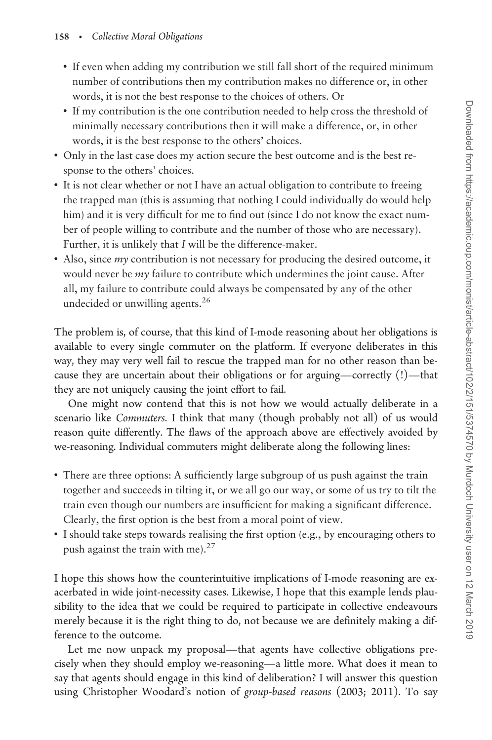- If even when adding my contribution we still fall short of the required minimum number of contributions then my contribution makes no difference or, in other words, it is not the best response to the choices of others. Or
- If my contribution is the one contribution needed to help cross the threshold of minimally necessary contributions then it will make a difference, or, in other words, it is the best response to the others' choices.
- Only in the last case does my action secure the best outcome and is the best response to the others' choices.
- It is not clear whether or not I have an actual obligation to contribute to freeing the trapped man (this is assuming that nothing I could individually do would help him) and it is very difficult for me to find out (since I do not know the exact number of people willing to contribute and the number of those who are necessary). Further, it is unlikely that I will be the difference-maker.
- Also, since  $my$  contribution is not necessary for producing the desired outcome, it would never be  $m\gamma$  failure to contribute which undermines the joint cause. After all, my failure to contribute could always be compensated by any of the other undecided or unwilling agents.<sup>26</sup>

The problem is, of course, that this kind of I-mode reasoning about her obligations is available to every single commuter on the platform. If everyone deliberates in this way, they may very well fail to rescue the trapped man for no other reason than because they are uncertain about their obligations or for arguing—correctly (!)—that they are not uniquely causing the joint effort to fail.

One might now contend that this is not how we would actually deliberate in a scenario like Commuters. I think that many (though probably not all) of us would reason quite differently. The flaws of the approach above are effectively avoided by we-reasoning. Individual commuters might deliberate along the following lines:

- There are three options: A sufficiently large subgroup of us push against the train together and succeeds in tilting it, or we all go our way, or some of us try to tilt the train even though our numbers are insufficient for making a significant difference. Clearly, the first option is the best from a moral point of view.
- I should take steps towards realising the first option (e.g., by encouraging others to push against the train with me). $27$

I hope this shows how the counterintuitive implications of I-mode reasoning are exacerbated in wide joint-necessity cases. Likewise, I hope that this example lends plausibility to the idea that we could be required to participate in collective endeavours merely because it is the right thing to do, not because we are definitely making a difference to the outcome.

Let me now unpack my proposal—that agents have collective obligations precisely when they should employ we-reasoning—a little more. What does it mean to say that agents should engage in this kind of deliberation? I will answer this question using Christopher Woodard's notion of group-based reasons (2003; 2011). To say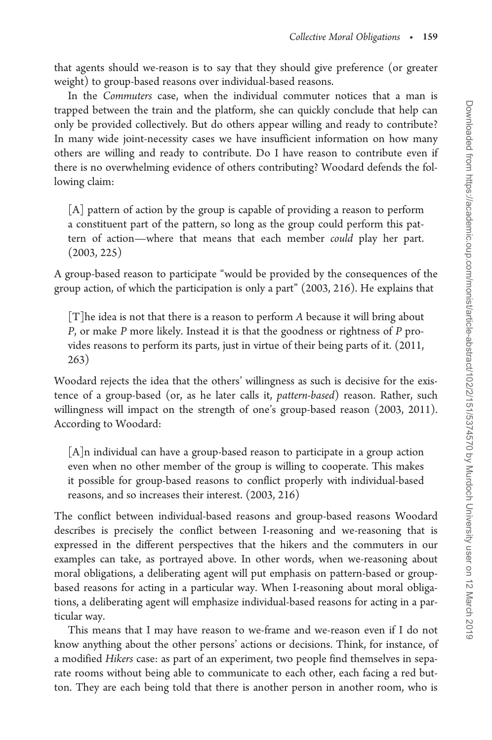that agents should we-reason is to say that they should give preference (or greater weight) to group-based reasons over individual-based reasons.

In the Commuters case, when the individual commuter notices that a man is trapped between the train and the platform, she can quickly conclude that help can only be provided collectively. But do others appear willing and ready to contribute? In many wide joint-necessity cases we have insufficient information on how many others are willing and ready to contribute. Do I have reason to contribute even if there is no overwhelming evidence of others contributing? Woodard defends the following claim:

[A] pattern of action by the group is capable of providing a reason to perform a constituent part of the pattern, so long as the group could perform this pattern of action—where that means that each member could play her part. (2003, 225)

A group-based reason to participate "would be provided by the consequences of the group action, of which the participation is only a part" (2003, 216). He explains that

 $[T]$ he idea is not that there is a reason to perform A because it will bring about P, or make P more likely. Instead it is that the goodness or rightness of P provides reasons to perform its parts, just in virtue of their being parts of it. (2011, 263)

Woodard rejects the idea that the others' willingness as such is decisive for the existence of a group-based (or, as he later calls it, pattern-based) reason. Rather, such willingness will impact on the strength of one's group-based reason (2003, 2011). According to Woodard:

[A]n individual can have a group-based reason to participate in a group action even when no other member of the group is willing to cooperate. This makes it possible for group-based reasons to conflict properly with individual-based reasons, and so increases their interest. (2003, 216)

The conflict between individual-based reasons and group-based reasons Woodard describes is precisely the conflict between I-reasoning and we-reasoning that is expressed in the different perspectives that the hikers and the commuters in our examples can take, as portrayed above. In other words, when we-reasoning about moral obligations, a deliberating agent will put emphasis on pattern-based or groupbased reasons for acting in a particular way. When I-reasoning about moral obligations, a deliberating agent will emphasize individual-based reasons for acting in a particular way.

This means that I may have reason to we-frame and we-reason even if I do not know anything about the other persons' actions or decisions. Think, for instance, of a modified Hikers case: as part of an experiment, two people find themselves in separate rooms without being able to communicate to each other, each facing a red button. They are each being told that there is another person in another room, who is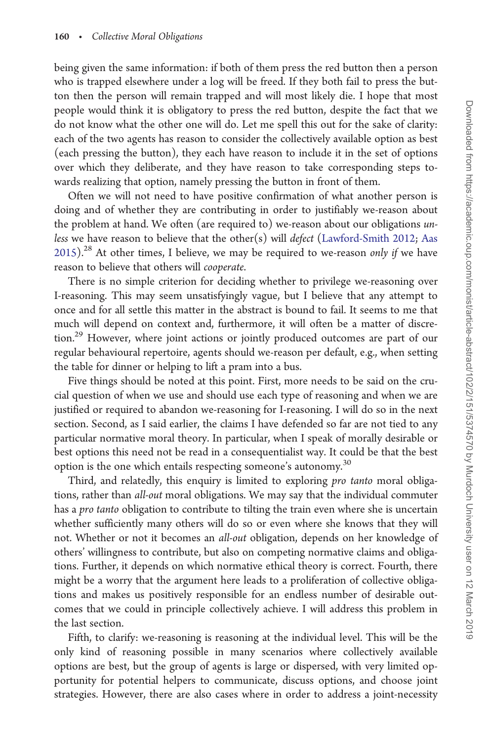being given the same information: if both of them press the red button then a person who is trapped elsewhere under a log will be freed. If they both fail to press the button then the person will remain trapped and will most likely die. I hope that most people would think it is obligatory to press the red button, despite the fact that we do not know what the other one will do. Let me spell this out for the sake of clarity: each of the two agents has reason to consider the collectively available option as best (each pressing the button), they each have reason to include it in the set of options over which they deliberate, and they have reason to take corresponding steps towards realizing that option, namely pressing the button in front of them.

Often we will not need to have positive confirmation of what another person is doing and of whether they are contributing in order to justifiably we-reason about the problem at hand. We often (are required to) we-reason about our obligations un-less we have reason to believe that the other(s) will defect ([Lawford-Smith 2012;](#page-20-0) [Aas](#page-19-0) [2015](#page-19-0)).<sup>28</sup> At other times, I believe, we may be required to we-reason *only if* we have reason to believe that others will cooperate.

There is no simple criterion for deciding whether to privilege we-reasoning over I-reasoning. This may seem unsatisfyingly vague, but I believe that any attempt to once and for all settle this matter in the abstract is bound to fail. It seems to me that much will depend on context and, furthermore, it will often be a matter of discretion.<sup>29</sup> However, where joint actions or jointly produced outcomes are part of our regular behavioural repertoire, agents should we-reason per default, e.g., when setting the table for dinner or helping to lift a pram into a bus.

Five things should be noted at this point. First, more needs to be said on the crucial question of when we use and should use each type of reasoning and when we are justified or required to abandon we-reasoning for I-reasoning. I will do so in the next section. Second, as I said earlier, the claims I have defended so far are not tied to any particular normative moral theory. In particular, when I speak of morally desirable or best options this need not be read in a consequentialist way. It could be that the best option is the one which entails respecting someone's autonomy.<sup>30</sup>

Third, and relatedly, this enquiry is limited to exploring pro tanto moral obligations, rather than all-out moral obligations. We may say that the individual commuter has a *pro tanto* obligation to contribute to tilting the train even where she is uncertain whether sufficiently many others will do so or even where she knows that they will not. Whether or not it becomes an all-out obligation, depends on her knowledge of others' willingness to contribute, but also on competing normative claims and obligations. Further, it depends on which normative ethical theory is correct. Fourth, there might be a worry that the argument here leads to a proliferation of collective obligations and makes us positively responsible for an endless number of desirable outcomes that we could in principle collectively achieve. I will address this problem in the last section.

Fifth, to clarify: we-reasoning is reasoning at the individual level. This will be the only kind of reasoning possible in many scenarios where collectively available options are best, but the group of agents is large or dispersed, with very limited opportunity for potential helpers to communicate, discuss options, and choose joint strategies. However, there are also cases where in order to address a joint-necessity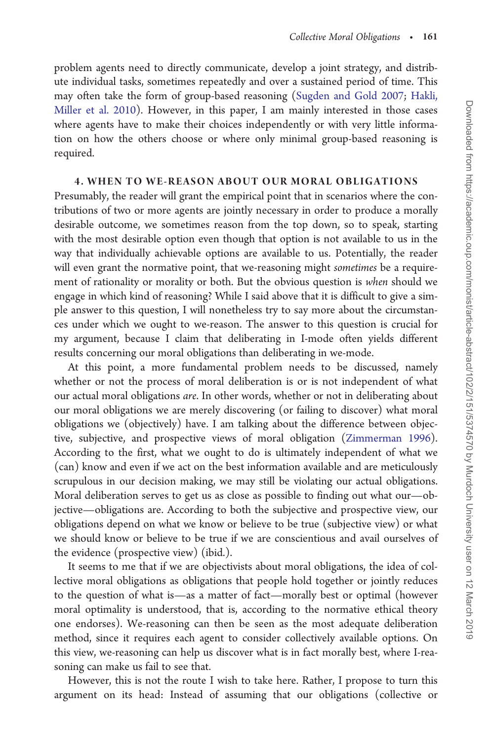problem agents need to directly communicate, develop a joint strategy, and distribute individual tasks, sometimes repeatedly and over a sustained period of time. This may often take the form of group-based reasoning [\(Sugden and Gold 2007;](#page-20-0) [Hakli,](#page-19-0) [Miller et al. 2010](#page-19-0)). However, in this paper, I am mainly interested in those cases where agents have to make their choices independently or with very little information on how the others choose or where only minimal group-based reasoning is required.

## 4. WHEN TO WE-REASON ABOUT OUR MORAL OBLIGATIONS

Presumably, the reader will grant the empirical point that in scenarios where the contributions of two or more agents are jointly necessary in order to produce a morally desirable outcome, we sometimes reason from the top down, so to speak, starting with the most desirable option even though that option is not available to us in the way that individually achievable options are available to us. Potentially, the reader will even grant the normative point, that we-reasoning might *sometimes* be a requirement of rationality or morality or both. But the obvious question is when should we engage in which kind of reasoning? While I said above that it is difficult to give a simple answer to this question, I will nonetheless try to say more about the circumstances under which we ought to we-reason. The answer to this question is crucial for my argument, because I claim that deliberating in I-mode often yields different results concerning our moral obligations than deliberating in we-mode.

At this point, a more fundamental problem needs to be discussed, namely whether or not the process of moral deliberation is or is not independent of what our actual moral obligations are. In other words, whether or not in deliberating about our moral obligations we are merely discovering (or failing to discover) what moral obligations we (objectively) have. I am talking about the difference between objective, subjective, and prospective views of moral obligation ([Zimmerman 1996](#page-20-0)). According to the first, what we ought to do is ultimately independent of what we (can) know and even if we act on the best information available and are meticulously scrupulous in our decision making, we may still be violating our actual obligations. Moral deliberation serves to get us as close as possible to finding out what our—objective—obligations are. According to both the subjective and prospective view, our obligations depend on what we know or believe to be true (subjective view) or what we should know or believe to be true if we are conscientious and avail ourselves of the evidence (prospective view) (ibid.).

It seems to me that if we are objectivists about moral obligations, the idea of collective moral obligations as obligations that people hold together or jointly reduces to the question of what is—as a matter of fact—morally best or optimal (however moral optimality is understood, that is, according to the normative ethical theory one endorses). We-reasoning can then be seen as the most adequate deliberation method, since it requires each agent to consider collectively available options. On this view, we-reasoning can help us discover what is in fact morally best, where I-reasoning can make us fail to see that.

However, this is not the route I wish to take here. Rather, I propose to turn this argument on its head: Instead of assuming that our obligations (collective or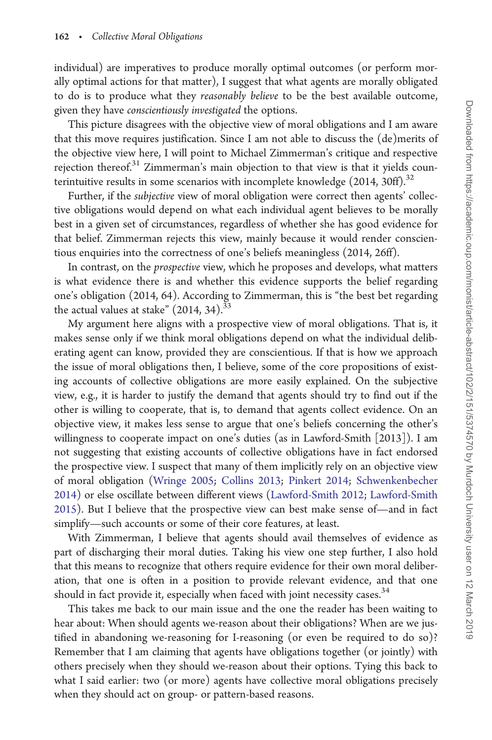individual) are imperatives to produce morally optimal outcomes (or perform morally optimal actions for that matter), I suggest that what agents are morally obligated to do is to produce what they reasonably believe to be the best available outcome, given they have conscientiously investigated the options.

This picture disagrees with the objective view of moral obligations and I am aware that this move requires justification. Since I am not able to discuss the (de)merits of the objective view here, I will point to Michael Zimmerman's critique and respective rejection thereof.<sup>31</sup> Zimmerman's main objection to that view is that it yields counterintuitive results in some scenarios with incomplete knowledge  $(2014, 30\text{ff})$ .<sup>32</sup>

Further, if the subjective view of moral obligation were correct then agents' collective obligations would depend on what each individual agent believes to be morally best in a given set of circumstances, regardless of whether she has good evidence for that belief. Zimmerman rejects this view, mainly because it would render conscientious enquiries into the correctness of one's beliefs meaningless (2014, 26ff).

In contrast, on the prospective view, which he proposes and develops, what matters is what evidence there is and whether this evidence supports the belief regarding one's obligation (2014, 64). According to Zimmerman, this is "the best bet regarding the actual values at stake"  $(2014, 34).$ <sup>33</sup>

My argument here aligns with a prospective view of moral obligations. That is, it makes sense only if we think moral obligations depend on what the individual deliberating agent can know, provided they are conscientious. If that is how we approach the issue of moral obligations then, I believe, some of the core propositions of existing accounts of collective obligations are more easily explained. On the subjective view, e.g., it is harder to justify the demand that agents should try to find out if the other is willing to cooperate, that is, to demand that agents collect evidence. On an objective view, it makes less sense to argue that one's beliefs concerning the other's willingness to cooperate impact on one's duties (as in Lawford-Smith [2013]). I am not suggesting that existing accounts of collective obligations have in fact endorsed the prospective view. I suspect that many of them implicitly rely on an objective view of moral obligation [\(Wringe 2005](#page-20-0); [Collins 2013;](#page-19-0) [Pinkert 2014](#page-20-0); [Schwenkenbecher](#page-20-0) [2014](#page-20-0)) or else oscillate between different views [\(Lawford-Smith 2012;](#page-20-0) [Lawford-Smith](#page-20-0) [2015](#page-20-0)). But I believe that the prospective view can best make sense of—and in fact simplify—such accounts or some of their core features, at least.

With Zimmerman, I believe that agents should avail themselves of evidence as part of discharging their moral duties. Taking his view one step further, I also hold that this means to recognize that others require evidence for their own moral deliberation, that one is often in a position to provide relevant evidence, and that one should in fact provide it, especially when faced with joint necessity cases.<sup>34</sup>

This takes me back to our main issue and the one the reader has been waiting to hear about: When should agents we-reason about their obligations? When are we justified in abandoning we-reasoning for I-reasoning (or even be required to do so)? Remember that I am claiming that agents have obligations together (or jointly) with others precisely when they should we-reason about their options. Tying this back to what I said earlier: two (or more) agents have collective moral obligations precisely when they should act on group- or pattern-based reasons.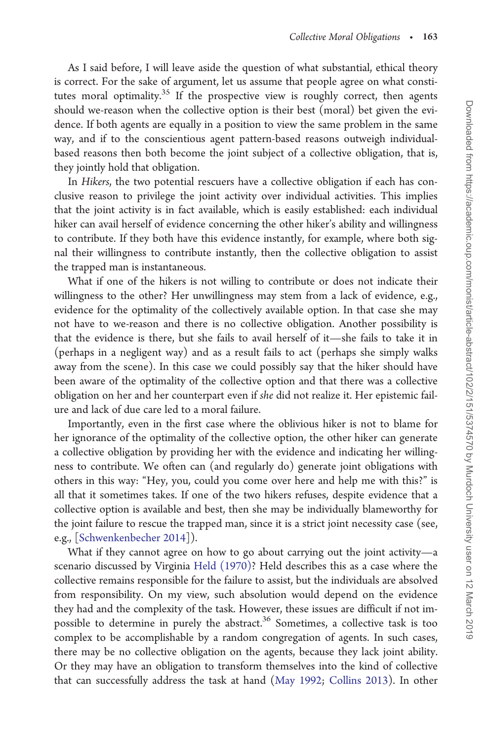As I said before, I will leave aside the question of what substantial, ethical theory is correct. For the sake of argument, let us assume that people agree on what constitutes moral optimality.<sup>35</sup> If the prospective view is roughly correct, then agents should we-reason when the collective option is their best (moral) bet given the evidence. If both agents are equally in a position to view the same problem in the same way, and if to the conscientious agent pattern-based reasons outweigh individualbased reasons then both become the joint subject of a collective obligation, that is, they jointly hold that obligation.

In Hikers, the two potential rescuers have a collective obligation if each has conclusive reason to privilege the joint activity over individual activities. This implies that the joint activity is in fact available, which is easily established: each individual hiker can avail herself of evidence concerning the other hiker's ability and willingness to contribute. If they both have this evidence instantly, for example, where both signal their willingness to contribute instantly, then the collective obligation to assist the trapped man is instantaneous.

What if one of the hikers is not willing to contribute or does not indicate their willingness to the other? Her unwillingness may stem from a lack of evidence, e.g., evidence for the optimality of the collectively available option. In that case she may not have to we-reason and there is no collective obligation. Another possibility is that the evidence is there, but she fails to avail herself of it—she fails to take it in (perhaps in a negligent way) and as a result fails to act (perhaps she simply walks away from the scene). In this case we could possibly say that the hiker should have been aware of the optimality of the collective option and that there was a collective obligation on her and her counterpart even if she did not realize it. Her epistemic failure and lack of due care led to a moral failure.

Importantly, even in the first case where the oblivious hiker is not to blame for her ignorance of the optimality of the collective option, the other hiker can generate a collective obligation by providing her with the evidence and indicating her willingness to contribute. We often can (and regularly do) generate joint obligations with others in this way: "Hey, you, could you come over here and help me with this?" is all that it sometimes takes. If one of the two hikers refuses, despite evidence that a collective option is available and best, then she may be individually blameworthy for the joint failure to rescue the trapped man, since it is a strict joint necessity case (see, e.g., [\[Schwenkenbecher 2014\]](#page-20-0)).

What if they cannot agree on how to go about carrying out the joint activity—a scenario discussed by Virginia [Held \(1970\)](#page-19-0)? Held describes this as a case where the collective remains responsible for the failure to assist, but the individuals are absolved from responsibility. On my view, such absolution would depend on the evidence they had and the complexity of the task. However, these issues are difficult if not impossible to determine in purely the abstract.<sup>36</sup> Sometimes, a collective task is too complex to be accomplishable by a random congregation of agents. In such cases, there may be no collective obligation on the agents, because they lack joint ability. Or they may have an obligation to transform themselves into the kind of collective that can successfully address the task at hand ([May 1992;](#page-20-0) [Collins 2013\)](#page-19-0). In other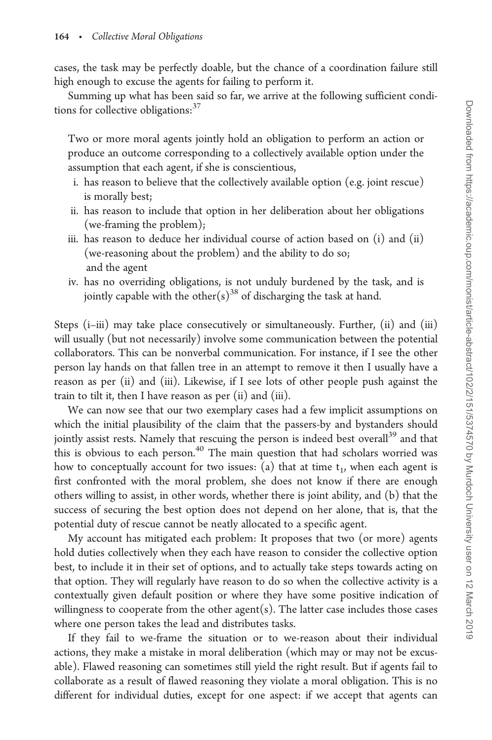cases, the task may be perfectly doable, but the chance of a coordination failure still high enough to excuse the agents for failing to perform it.

Summing up what has been said so far, we arrive at the following sufficient conditions for collective obligations:<sup>37</sup>

Two or more moral agents jointly hold an obligation to perform an action or produce an outcome corresponding to a collectively available option under the assumption that each agent, if she is conscientious,

- i. has reason to believe that the collectively available option (e.g. joint rescue) is morally best;
- ii. has reason to include that option in her deliberation about her obligations (we-framing the problem);
- iii. has reason to deduce her individual course of action based on (i) and (ii) (we-reasoning about the problem) and the ability to do so; and the agent
- iv. has no overriding obligations, is not unduly burdened by the task, and is jointly capable with the other(s)<sup>38</sup> of discharging the task at hand.

Steps (i–iii) may take place consecutively or simultaneously. Further, (ii) and (iii) will usually (but not necessarily) involve some communication between the potential collaborators. This can be nonverbal communication. For instance, if I see the other person lay hands on that fallen tree in an attempt to remove it then I usually have a reason as per (ii) and (iii). Likewise, if I see lots of other people push against the train to tilt it, then I have reason as per  $(ii)$  and  $(iii)$ .

We can now see that our two exemplary cases had a few implicit assumptions on which the initial plausibility of the claim that the passers-by and bystanders should jointly assist rests. Namely that rescuing the person is indeed best overall<sup>39</sup> and that this is obvious to each person.<sup>40</sup> The main question that had scholars worried was how to conceptually account for two issues: (a) that at time  $t_1$ , when each agent is first confronted with the moral problem, she does not know if there are enough others willing to assist, in other words, whether there is joint ability, and (b) that the success of securing the best option does not depend on her alone, that is, that the potential duty of rescue cannot be neatly allocated to a specific agent.

My account has mitigated each problem: It proposes that two (or more) agents hold duties collectively when they each have reason to consider the collective option best, to include it in their set of options, and to actually take steps towards acting on that option. They will regularly have reason to do so when the collective activity is a contextually given default position or where they have some positive indication of willingness to cooperate from the other  $agent(s)$ . The latter case includes those cases where one person takes the lead and distributes tasks.

If they fail to we-frame the situation or to we-reason about their individual actions, they make a mistake in moral deliberation (which may or may not be excusable). Flawed reasoning can sometimes still yield the right result. But if agents fail to collaborate as a result of flawed reasoning they violate a moral obligation. This is no different for individual duties, except for one aspect: if we accept that agents can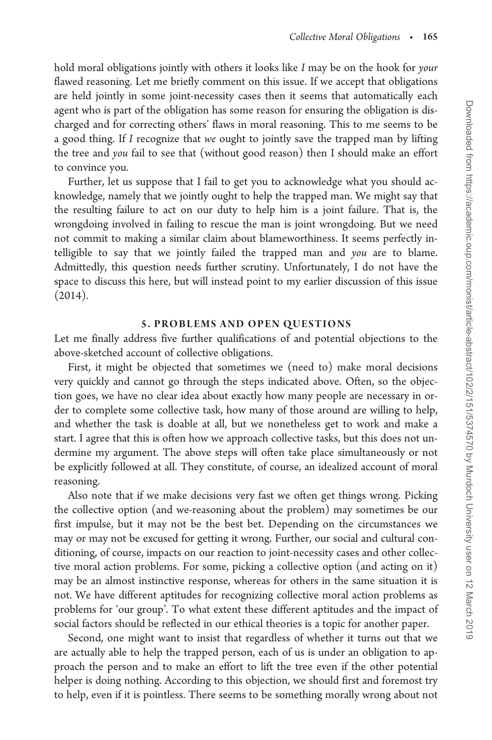hold moral obligations jointly with others it looks like I may be on the hook for your flawed reasoning. Let me briefly comment on this issue. If we accept that obligations are held jointly in some joint-necessity cases then it seems that automatically each agent who is part of the obligation has some reason for ensuring the obligation is discharged and for correcting others' flaws in moral reasoning. This to me seems to be a good thing. If I recognize that we ought to jointly save the trapped man by lifting the tree and you fail to see that (without good reason) then I should make an effort to convince you.

Further, let us suppose that I fail to get you to acknowledge what you should acknowledge, namely that we jointly ought to help the trapped man. We might say that the resulting failure to act on our duty to help him is a joint failure. That is, the wrongdoing involved in failing to rescue the man is joint wrongdoing. But we need not commit to making a similar claim about blameworthiness. It seems perfectly intelligible to say that we jointly failed the trapped man and you are to blame. Admittedly, this question needs further scrutiny. Unfortunately, I do not have the space to discuss this here, but will instead point to my earlier discussion of this issue  $(2014).$ 

## 5. PROBLEMS AND OPEN QUESTIONS

Let me finally address five further qualifications of and potential objections to the above-sketched account of collective obligations.

First, it might be objected that sometimes we (need to) make moral decisions very quickly and cannot go through the steps indicated above. Often, so the objection goes, we have no clear idea about exactly how many people are necessary in order to complete some collective task, how many of those around are willing to help, and whether the task is doable at all, but we nonetheless get to work and make a start. I agree that this is often how we approach collective tasks, but this does not undermine my argument. The above steps will often take place simultaneously or not be explicitly followed at all. They constitute, of course, an idealized account of moral reasoning.

Also note that if we make decisions very fast we often get things wrong. Picking the collective option (and we-reasoning about the problem) may sometimes be our first impulse, but it may not be the best bet. Depending on the circumstances we may or may not be excused for getting it wrong. Further, our social and cultural conditioning, of course, impacts on our reaction to joint-necessity cases and other collective moral action problems. For some, picking a collective option (and acting on it) may be an almost instinctive response, whereas for others in the same situation it is not. We have different aptitudes for recognizing collective moral action problems as problems for 'our group'. To what extent these different aptitudes and the impact of social factors should be reflected in our ethical theories is a topic for another paper.

Second, one might want to insist that regardless of whether it turns out that we are actually able to help the trapped person, each of us is under an obligation to approach the person and to make an effort to lift the tree even if the other potential helper is doing nothing. According to this objection, we should first and foremost try to help, even if it is pointless. There seems to be something morally wrong about not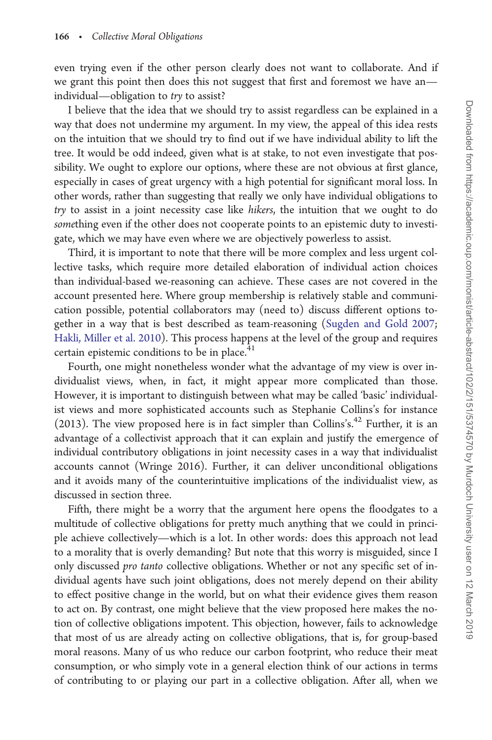even trying even if the other person clearly does not want to collaborate. And if we grant this point then does this not suggest that first and foremost we have an individual—obligation to try to assist?

I believe that the idea that we should try to assist regardless can be explained in a way that does not undermine my argument. In my view, the appeal of this idea rests on the intuition that we should try to find out if we have individual ability to lift the tree. It would be odd indeed, given what is at stake, to not even investigate that possibility. We ought to explore our options, where these are not obvious at first glance, especially in cases of great urgency with a high potential for significant moral loss. In other words, rather than suggesting that really we only have individual obligations to try to assist in a joint necessity case like hikers, the intuition that we ought to do something even if the other does not cooperate points to an epistemic duty to investigate, which we may have even where we are objectively powerless to assist.

Third, it is important to note that there will be more complex and less urgent collective tasks, which require more detailed elaboration of individual action choices than individual-based we-reasoning can achieve. These cases are not covered in the account presented here. Where group membership is relatively stable and communication possible, potential collaborators may (need to) discuss different options together in a way that is best described as team-reasoning ([Sugden and Gold 2007;](#page-20-0) [Hakli, Miller et al. 2010\)](#page-19-0). This process happens at the level of the group and requires certain epistemic conditions to be in place.<sup>41</sup>

Fourth, one might nonetheless wonder what the advantage of my view is over individualist views, when, in fact, it might appear more complicated than those. However, it is important to distinguish between what may be called 'basic' individualist views and more sophisticated accounts such as Stephanie Collins's for instance (2013). The view proposed here is in fact simpler than Collins's. $42$  Further, it is an advantage of a collectivist approach that it can explain and justify the emergence of individual contributory obligations in joint necessity cases in a way that individualist accounts cannot (Wringe 2016). Further, it can deliver unconditional obligations and it avoids many of the counterintuitive implications of the individualist view, as discussed in section three.

Fifth, there might be a worry that the argument here opens the floodgates to a multitude of collective obligations for pretty much anything that we could in principle achieve collectively—which is a lot. In other words: does this approach not lead to a morality that is overly demanding? But note that this worry is misguided, since I only discussed pro tanto collective obligations. Whether or not any specific set of individual agents have such joint obligations, does not merely depend on their ability to effect positive change in the world, but on what their evidence gives them reason to act on. By contrast, one might believe that the view proposed here makes the notion of collective obligations impotent. This objection, however, fails to acknowledge that most of us are already acting on collective obligations, that is, for group-based moral reasons. Many of us who reduce our carbon footprint, who reduce their meat consumption, or who simply vote in a general election think of our actions in terms of contributing to or playing our part in a collective obligation. After all, when we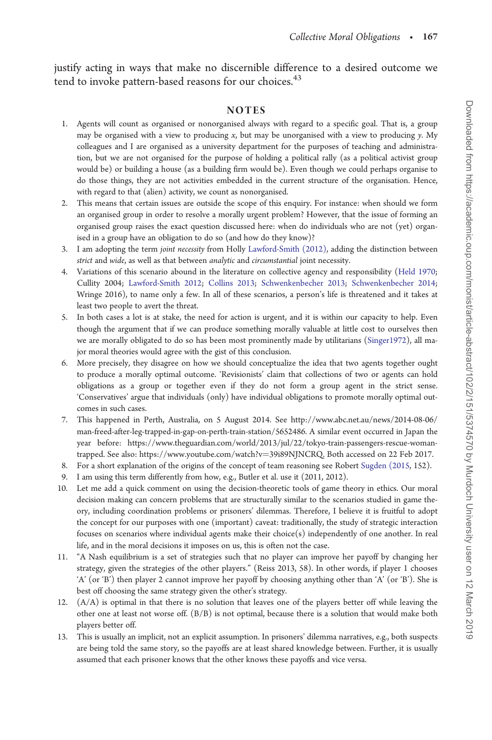justify acting in ways that make no discernible difference to a desired outcome we tend to invoke pattern-based reasons for our choices.<sup>43</sup>

#### **NOTES**

- 1. Agents will count as organised or nonorganised always with regard to a specific goal. That is, a group may be organised with a view to producing  $x$ , but may be unorganised with a view to producing  $y$ . My colleagues and I are organised as a university department for the purposes of teaching and administration, but we are not organised for the purpose of holding a political rally (as a political activist group would be) or building a house (as a building firm would be). Even though we could perhaps organise to do those things, they are not activities embedded in the current structure of the organisation. Hence, with regard to that (alien) activity, we count as nonorganised.
- 2. This means that certain issues are outside the scope of this enquiry. For instance: when should we form an organised group in order to resolve a morally urgent problem? However, that the issue of forming an organised group raises the exact question discussed here: when do individuals who are not (yet) organised in a group have an obligation to do so (and how do they know)?
- 3. I am adopting the term joint necessity from Holly [Lawford-Smith \(2012\),](#page-20-0) adding the distinction between strict and wide, as well as that between analytic and circumstantial joint necessity.
- 4. Variations of this scenario abound in the literature on collective agency and responsibility ([Held 1970](#page-19-0); Cullity 2004; [Lawford-Smith 2012;](#page-20-0) [Collins 2013;](#page-19-0) [Schwenkenbecher 2013](#page-20-0); [Schwenkenbecher 2014](#page-20-0); Wringe 2016), to name only a few. In all of these scenarios, a person's life is threatened and it takes at least two people to avert the threat.
- 5. In both cases a lot is at stake, the need for action is urgent, and it is within our capacity to help. Even though the argument that if we can produce something morally valuable at little cost to ourselves then we are morally obligated to do so has been most prominently made by utilitarians ([Singer1972\)](#page-20-0), all major moral theories would agree with the gist of this conclusion.
- 6. More precisely, they disagree on how we should conceptualize the idea that two agents together ought to produce a morally optimal outcome. 'Revisionists' claim that collections of two or agents can hold obligations as a group or together even if they do not form a group agent in the strict sense. 'Conservatives' argue that individuals (only) have individual obligations to promote morally optimal outcomes in such cases.
- 7. This happened in Perth, Australia, on 5 August 2014. See [http://www.abc.net.au/news/2014-08-06/](http://www.abc.net.au/news/2014-08-06/man-freed-after-leg-trapped-in-gap-on-perth-train-station/5652486) [man-freed-after-leg-trapped-in-gap-on-perth-train-station/5652486](http://www.abc.net.au/news/2014-08-06/man-freed-after-leg-trapped-in-gap-on-perth-train-station/5652486). A similar event occurred in Japan the year before: [https://www.theguardian.com/world/2013/jul/22/tokyo-train-passengers-rescue-woman](https://www.theguardian.com/world/2013/jul/22/tokyo-train-passengers-rescue-woman-trapped)[trapped](https://www.theguardian.com/world/2013/jul/22/tokyo-train-passengers-rescue-woman-trapped). See also: [https://www.youtube.com/watch?v](https://www.youtube.com/watch?v=39i89NJNCRQ)=[39i89NJNCRQ.](https://www.youtube.com/watch?v=39i89NJNCRQ) Both accessed on 22 Feb 2017.
- 8. For a short explanation of the origins of the concept of team reasoning see Robert [Sugden \(2015,](#page-20-0) 152).
- 9. I am using this term differently from how, e.g., Butler et al. use it (2011, 2012).
- 10. Let me add a quick comment on using the decision-theoretic tools of game theory in ethics. Our moral decision making can concern problems that are structurally similar to the scenarios studied in game theory, including coordination problems or prisoners' dilemmas. Therefore, I believe it is fruitful to adopt the concept for our purposes with one (important) caveat: traditionally, the study of strategic interaction focuses on scenarios where individual agents make their choice $(s)$  independently of one another. In real life, and in the moral decisions it imposes on us, this is often not the case.
- 11. "A Nash equilibrium is a set of strategies such that no player can improve her payoff by changing her strategy, given the strategies of the other players." (Reiss 2013, 58). In other words, if player 1 chooses 'A' (or 'B') then player 2 cannot improve her payoff by choosing anything other than 'A' (or 'B'). She is best off choosing the same strategy given the other's strategy.
- 12. (A/A) is optimal in that there is no solution that leaves one of the players better off while leaving the other one at least not worse off. (B/B) is not optimal, because there is a solution that would make both players better off.
- 13. This is usually an implicit, not an explicit assumption. In prisoners' dilemma narratives, e.g., both suspects are being told the same story, so the payoffs are at least shared knowledge between. Further, it is usually assumed that each prisoner knows that the other knows these payoffs and vice versa.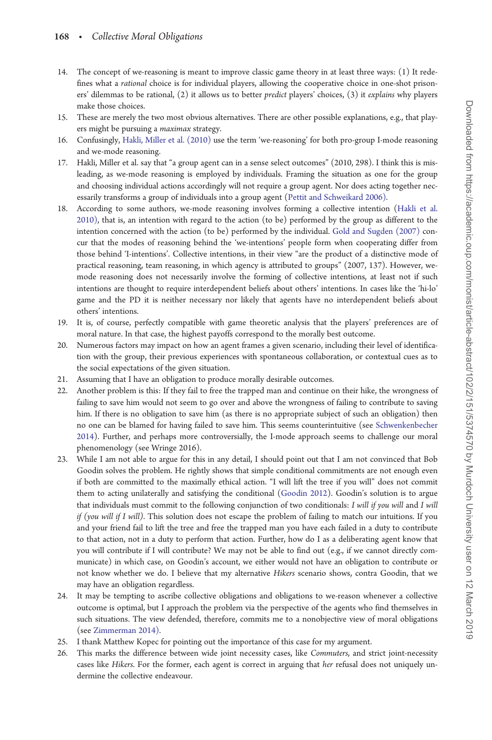- 14. The concept of we-reasoning is meant to improve classic game theory in at least three ways: (1) It redefines what a rational choice is for individual players, allowing the cooperative choice in one-shot prisoners' dilemmas to be rational, (2) it allows us to better predict players' choices, (3) it explains why players make those choices.
- 15. These are merely the two most obvious alternatives. There are other possible explanations, e.g., that players might be pursuing a maximax strategy.
- 16. Confusingly, [Hakli, Miller et al. \(2010\)](#page-19-0) use the term 'we-reasoning' for both pro-group I-mode reasoning and we-mode reasoning.
- 17. Hakli, Miller et al. say that "a group agent can in a sense select outcomes" (2010, 298). I think this is misleading, as we-mode reasoning is employed by individuals. Framing the situation as one for the group and choosing individual actions accordingly will not require a group agent. Nor does acting together necessarily transforms a group of individuals into a group agent [\(Pettit and Schweikard 2006\)](#page-20-0).
- 18. According to some authors, we-mode reasoning involves forming a collective intention [\(Hakli et al.](#page-19-0) [2010\)](#page-19-0), that is, an intention with regard to the action (to be) performed by the group as different to the intention concerned with the action (to be) performed by the individual. [Gold and Sugden \(2007\)](#page-19-0) concur that the modes of reasoning behind the 'we-intentions' people form when cooperating differ from those behind 'I-intentions'. Collective intentions, in their view "are the product of a distinctive mode of practical reasoning, team reasoning, in which agency is attributed to groups" (2007, 137). However, wemode reasoning does not necessarily involve the forming of collective intentions, at least not if such intentions are thought to require interdependent beliefs about others' intentions. In cases like the 'hi-lo' game and the PD it is neither necessary nor likely that agents have no interdependent beliefs about others' intentions.
- 19. It is, of course, perfectly compatible with game theoretic analysis that the players' preferences are of moral nature. In that case, the highest payoffs correspond to the morally best outcome.
- 20. Numerous factors may impact on how an agent frames a given scenario, including their level of identification with the group, their previous experiences with spontaneous collaboration, or contextual cues as to the social expectations of the given situation.
- 21. Assuming that I have an obligation to produce morally desirable outcomes.
- 22. Another problem is this: If they fail to free the trapped man and continue on their hike, the wrongness of failing to save him would not seem to go over and above the wrongness of failing to contribute to saving him. If there is no obligation to save him (as there is no appropriate subject of such an obligation) then no one can be blamed for having failed to save him. This seems counterintuitive (see [Schwenkenbecher](#page-20-0) [2014](#page-20-0)). Further, and perhaps more controversially, the I-mode approach seems to challenge our moral phenomenology (see Wringe 2016).
- 23. While I am not able to argue for this in any detail, I should point out that I am not convinced that Bob Goodin solves the problem. He rightly shows that simple conditional commitments are not enough even if both are committed to the maximally ethical action. "I will lift the tree if you will" does not commit them to acting unilaterally and satisfying the conditional [\(Goodin 2012\)](#page-19-0). Goodin's solution is to argue that individuals must commit to the following conjunction of two conditionals: I will if you will and I will if (you will if I will). This solution does not escape the problem of failing to match our intuitions. If you and your friend fail to lift the tree and free the trapped man you have each failed in a duty to contribute to that action, not in a duty to perform that action. Further, how do I as a deliberating agent know that you will contribute if I will contribute? We may not be able to find out (e.g., if we cannot directly communicate) in which case, on Goodin's account, we either would not have an obligation to contribute or not know whether we do. I believe that my alternative Hikers scenario shows, contra Goodin, that we may have an obligation regardless.
- 24. It may be tempting to ascribe collective obligations and obligations to we-reason whenever a collective outcome is optimal, but I approach the problem via the perspective of the agents who find themselves in such situations. The view defended, therefore, commits me to a nonobjective view of moral obligations (see [Zimmerman 2014\)](#page-20-0).
- 25. I thank Matthew Kopec for pointing out the importance of this case for my argument.
- 26. This marks the difference between wide joint necessity cases, like Commuters, and strict joint-necessity cases like Hikers. For the former, each agent is correct in arguing that her refusal does not uniquely undermine the collective endeavour.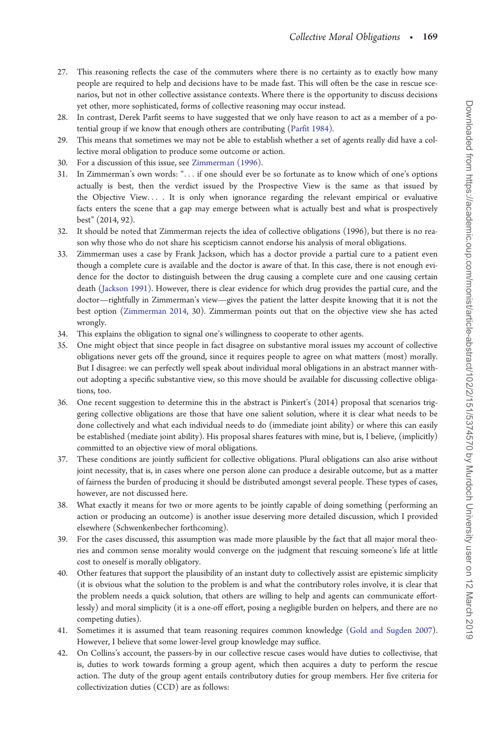- 27. This reasoning reflects the case of the commuters where there is no certainty as to exactly how many people are required to help and decisions have to be made fast. This will often be the case in rescue scenarios, but not in other collective assistance contexts. Where there is the opportunity to discuss decisions yet other, more sophisticated, forms of collective reasoning may occur instead.
- 28. In contrast, Derek Parfit seems to have suggested that we only have reason to act as a member of a potential group if we know that enough others are contributing ([Parfit 1984\)](#page-20-0).
- 29. This means that sometimes we may not be able to establish whether a set of agents really did have a collective moral obligation to produce some outcome or action.
- 30. For a discussion of this issue, see [Zimmerman \(1996\).](#page-20-0)
- 31. In Zimmerman's own words: "... if one should ever be so fortunate as to know which of one's options actually is best, then the verdict issued by the Prospective View is the same as that issued by the Objective View... . It is only when ignorance regarding the relevant empirical or evaluative facts enters the scene that a gap may emerge between what is actually best and what is prospectively best" (2014, 92).
- 32. It should be noted that Zimmerman rejects the idea of collective obligations (1996), but there is no reason why those who do not share his scepticism cannot endorse his analysis of moral obligations.
- 33. Zimmerman uses a case by Frank Jackson, which has a doctor provide a partial cure to a patient even though a complete cure is available and the doctor is aware of that. In this case, there is not enough evidence for the doctor to distinguish between the drug causing a complete cure and one causing certain death [\(Jackson 1991\).](#page-20-0) However, there is clear evidence for which drug provides the partial cure, and the doctor—rightfully in Zimmerman's view—gives the patient the latter despite knowing that it is not the best option [\(Zimmerman 2014,](#page-20-0) 30). Zimmerman points out that on the objective view she has acted wrongly.
- 34. This explains the obligation to signal one's willingness to cooperate to other agents.
- 35. One might object that since people in fact disagree on substantive moral issues my account of collective obligations never gets off the ground, since it requires people to agree on what matters (most) morally. But I disagree: we can perfectly well speak about individual moral obligations in an abstract manner without adopting a specific substantive view, so this move should be available for discussing collective obligations, too.
- 36. One recent suggestion to determine this in the abstract is Pinkert's (2014) proposal that scenarios triggering collective obligations are those that have one salient solution, where it is clear what needs to be done collectively and what each individual needs to do (immediate joint ability) or where this can easily be established (mediate joint ability). His proposal shares features with mine, but is, I believe, (implicitly) committed to an objective view of moral obligations.
- 37. These conditions are jointly sufficient for collective obligations. Plural obligations can also arise without joint necessity, that is, in cases where one person alone can produce a desirable outcome, but as a matter of fairness the burden of producing it should be distributed amongst several people. These types of cases, however, are not discussed here.
- 38. What exactly it means for two or more agents to be jointly capable of doing something (performing an action or producing an outcome) is another issue deserving more detailed discussion, which I provided elsewhere (Schwenkenbecher forthcoming).
- 39. For the cases discussed, this assumption was made more plausible by the fact that all major moral theories and common sense morality would converge on the judgment that rescuing someone's life at little cost to oneself is morally obligatory.
- 40. Other features that support the plausibility of an instant duty to collectively assist are epistemic simplicity (it is obvious what the solution to the problem is and what the contributory roles involve, it is clear that the problem needs a quick solution, that others are willing to help and agents can communicate effortlessly) and moral simplicity (it is a one-off effort, posing a negligible burden on helpers, and there are no competing duties).
- 41. Sometimes it is assumed that team reasoning requires common knowledge [\(Gold and Sugden 2007\)](#page-19-0). However, I believe that some lower-level group knowledge may suffice.
- 42. On Collins's account, the passers-by in our collective rescue cases would have duties to collectivise, that is, duties to work towards forming a group agent, which then acquires a duty to perform the rescue action. The duty of the group agent entails contributory duties for group members. Her five criteria for collectivization duties (CCD) are as follows: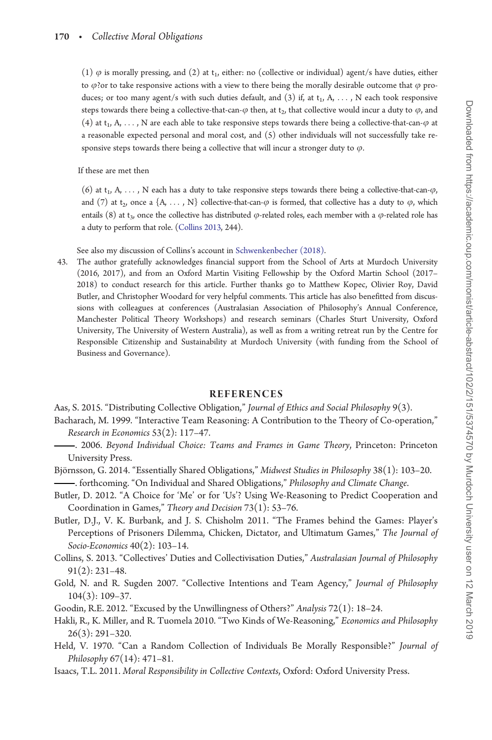<span id="page-19-0"></span>(1)  $\varphi$  is morally pressing, and (2) at  $t_1$ , either: no (collective or individual) agent/s have duties, either to  $\varphi$ ?or to take responsive actions with a view to there being the morally desirable outcome that  $\varphi$  produces; or too many agent/s with such duties default, and (3) if, at  $t_1$ ,  $A$ , ..., N each took responsive steps towards there being a collective-that-can- $\varphi$  then, at t<sub>2</sub>, that collective would incur a duty to  $\varphi$ , and (4) at  $t_1, A, \ldots, N$  are each able to take responsive steps towards there being a collective-that-can- $\varphi$  at a reasonable expected personal and moral cost, and (5) other individuals will not successfully take responsive steps towards there being a collective that will incur a stronger duty to  $\varphi$ .

If these are met then

(6) at t<sub>1</sub>, A, ..., N each has a duty to take responsive steps towards there being a collective-that-can- $\varphi$ , and (7) at  $t_2$ , once a  $\{A, \ldots, N\}$  collective-that-can- $\varphi$  is formed, that collective has a duty to  $\varphi$ , which entails (8) at t<sub>3</sub>, once the collective has distributed  $\varphi$ -related roles, each member with a  $\varphi$ -related role has a duty to perform that role. (Collins 2013, 244).

See also my discussion of Collins's account in [Schwenkenbecher \(2018\).](#page-20-0)

43. The author gratefully acknowledges financial support from the School of Arts at Murdoch University (2016, 2017), and from an Oxford Martin Visiting Fellowship by the Oxford Martin School (2017– 2018) to conduct research for this article. Further thanks go to Matthew Kopec, Olivier Roy, David Butler, and Christopher Woodard for very helpful comments. This article has also benefitted from discussions with colleagues at conferences (Australasian Association of Philosophy's Annual Conference, Manchester Political Theory Workshops) and research seminars (Charles Sturt University, Oxford University, The University of Western Australia), as well as from a writing retreat run by the Centre for Responsible Citizenship and Sustainability at Murdoch University (with funding from the School of Business and Governance).

#### REFERENCES

Aas, S. 2015. "Distributing Collective Obligation," Journal of Ethics and Social Philosophy 9(3).

- Bacharach, M. 1999. "Interactive Team Reasoning: A Contribution to the Theory of Co-operation," Research in Economics 53(2): 117–47.
	- . 2006. Beyond Individual Choice: Teams and Frames in Game Theory, Princeton: Princeton University Press.
- Björnsson, G. 2014. "Essentially Shared Obligations," Midwest Studies in Philosophy 38(1): 103–20.

. forthcoming. "On Individual and Shared Obligations," Philosophy and Climate Change.

- Butler, D. 2012. "A Choice for 'Me' or for 'Us'? Using We-Reasoning to Predict Cooperation and Coordination in Games," Theory and Decision 73(1): 53–76.
- Butler, D.J., V. K. Burbank, and J. S. Chisholm 2011. "The Frames behind the Games: Player's Perceptions of Prisoners Dilemma, Chicken, Dictator, and Ultimatum Games," The Journal of Socio-Economics 40(2): 103–14.
- Collins, S. 2013. "Collectives' Duties and Collectivisation Duties," Australasian Journal of Philosophy 91(2): 231–48.
- Gold, N. and R. Sugden 2007. "Collective Intentions and Team Agency," Journal of Philosophy 104(3): 109–37.
- Goodin, R.E. 2012. "Excused by the Unwillingness of Others?" Analysis 72(1): 18–24.
- Hakli, R., K. Miller, and R. Tuomela 2010. "Two Kinds of We-Reasoning," Economics and Philosophy 26(3): 291–320.
- Held, V. 1970. "Can a Random Collection of Individuals Be Morally Responsible?" Journal of Philosophy 67(14): 471–81.
- Isaacs, T.L. 2011. Moral Responsibility in Collective Contexts, Oxford: Oxford University Press.